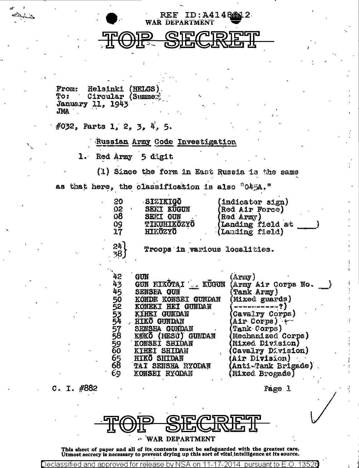

WAR DEPARTMENT

REF ID:A4148612

Helsinki (HELGS) **From: To:** Circular (Summer **January 11, 1943** JMA

#032, Parts 1, 2, 3, 4, 5.

Russian Army Code Investigation

Red Army 5 digit  $1.$ 

(1) Since the form in East Russia is the same as that here, the classification is also "045A,"

| <u>ွဝ</u><br>02<br>08<br>17 <sub>1</sub><br>24<br>38∫ | <b>SIZIKIGŌ</b><br><b>SEKI KUGUN</b><br><b>SERI GUN</b><br>09 TIKUHIKÖZYÖ<br>HIKÖZYÖ<br>Troops in various localities.                                                        | (indicator sign)<br>(Red Air Force)<br>(Red Army)<br>(Landing field at<br>(Landing field)                                                          |
|-------------------------------------------------------|------------------------------------------------------------------------------------------------------------------------------------------------------------------------------|----------------------------------------------------------------------------------------------------------------------------------------------------|
| 42<br>43<br>45<br>50<br>52                            | GUN<br>GUN FIKÕTAI LE KUGUN<br><b>SENSEA GUN</b><br>KONDE KONSEI GUNDAN<br>KONEKI HEI GUNDAN<br>KIHEI GUNDAN                                                                 | (Araw)<br>(Army Air Corps No.<br><b>Tank Army</b> )<br>Mixed guards)<br>(Cavalry Corps)                                                            |
| $\frac{57}{58}$<br>$\frac{59}{60}$<br>65<br>68<br>69  | 53 KIHEI GUNDAN<br>54 HIKO GUNDAN<br>SENSHA GUNDAN<br>KOKO (MESU) GUNDAN<br>KONSEI SHIDAN<br><b>KIHEI SHIDAN</b><br><b>HIKO SHIDAN</b><br>TAI SENSHA RYODAN<br>KONSEI RYODAN | Air Corps)<br>Tank Corps)<br>Mechanized Corps)<br>(Mixed Division)<br>(Cavalry Division)<br>(Air Division)<br>Anti-Tank Brigade)<br>Mixed Brogade) |

C. I. #882

Page 1



This sheet of paper and all of its contents must be safeguarded with the greatest care.<br>Utmost secrecy is necessary to prevent drying up this sort of vital intelligence at its source.

Declassif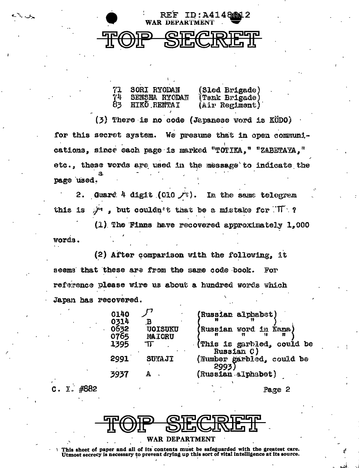

یک ک

 $\mathbf{I}$ .

 $\mathbf{C}$ .

#882

REF ID:A41486M12

| 71             | SORI RYODAN   | (Sled Brigade) |
|----------------|---------------|----------------|
| 74             | SENSHA RYODAN | (Tank Brigade) |
| 8 <sub>3</sub> | HIKŌ RENTAI   | (Air Regiment) |

(3) There is no code (Japanese word is KÖDO) for this secret system. We presume that in open communications, since each page is marked "TOTIKA," "ZABETAYA," etc., these words are used in the message to indicate the page used.

Guard 4 digit (010  $\sqrt{ }$ ).  $2.$ In the same telegram  $\mathcal{F}$ , but couldn't that be a mistake for  $\mathcal{F} \cap \mathcal{F}$ this is

 $(1)$ . The Finns have recovered approximately  $1,000$ words.

(2) After comparison with the following, it seems that these are from the same code book. For reference please wire us about a hundred words which Japan has recovered.

| 140                 |                                 | (Russian alphabet)                              |
|---------------------|---------------------------------|-------------------------------------------------|
| 314<br>1632<br>1765 | <b>VOISUKU</b><br><b>MATORU</b> | (Russian word in Kana)                          |
| .395                | ΤΓ                              | (This is garbled, could be                      |
| 991                 | SUYAJI                          | Russian C)<br>(Number garbled, could be<br>2993 |
| 937                 | А                               | (Russian alphabet)                              |

Page 2



This sheet of paper and all of its contents must be safeguarded with the greatest care. Utmost secrecy is necessary to prevent drying up this sort of vital intelligence at its source.